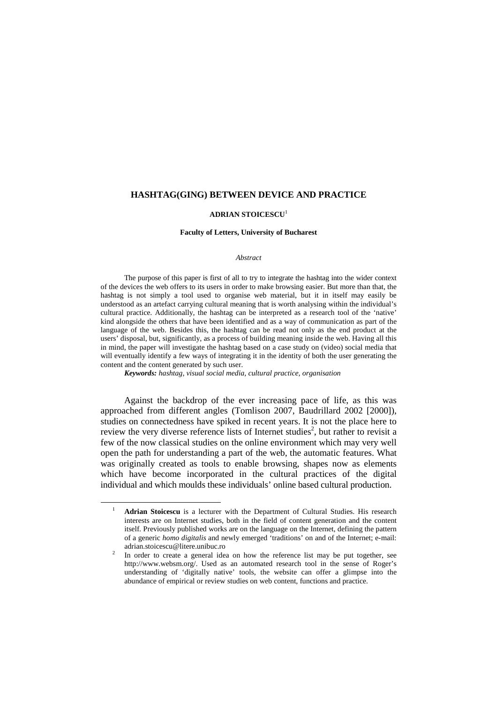#### **HASHTAG(GING) BETWEEN DEVICE AND PRACTICE**

#### **ADRIAN STOICESCU**<sup>1</sup>

#### **Faculty of Letters, University of Bucharest**

#### *Abstract*

The purpose of this paper is first of all to try to integrate the hashtag into the wider context of the devices the web offers to its users in order to make browsing easier. But more than that, the hashtag is not simply a tool used to organise web material, but it in itself may easily be understood as an artefact carrying cultural meaning that is worth analysing within the individual's cultural practice. Additionally, the hashtag can be interpreted as a research tool of the 'native' kind alongside the others that have been identified and as a way of communication as part of the language of the web. Besides this, the hashtag can be read not only as the end product at the users' disposal, but, significantly, as a process of building meaning inside the web. Having all this in mind, the paper will investigate the hashtag based on a case study on (video) social media that will eventually identify a few ways of integrating it in the identity of both the user generating the content and the content generated by such user.

*Keywords: hashtag, visual social media, cultural practice, organisation*

 $\overline{a}$ 

Against the backdrop of the ever increasing pace of life, as this was approached from different angles (Tomlison 2007, Baudrillard 2002 [2000]), studies on connectedness have spiked in recent years. It is not the place here to review the very diverse reference lists of Internet studies<sup>2</sup>, but rather to revisit a few of the now classical studies on the online environment which may very well open the path for understanding a part of the web, the automatic features. What was originally created as tools to enable browsing, shapes now as elements which have become incorporated in the cultural practices of the digital individual and which moulds these individuals' online based cultural production.

<sup>1</sup> **Adrian Stoicescu** is a lecturer with the Department of Cultural Studies. His research interests are on Internet studies, both in the field of content generation and the content itself. Previously published works are on the language on the Internet, defining the pattern of a generic *homo digitalis* and newly emerged 'traditions' on and of the Internet; e-mail: adrian.stoicescu@litere.unibuc.ro

<sup>2</sup> In order to create a general idea on how the reference list may be put together, see http://www.websm.org/. Used as an automated research tool in the sense of Roger's understanding of 'digitally native' tools, the website can offer a glimpse into the abundance of empirical or review studies on web content, functions and practice.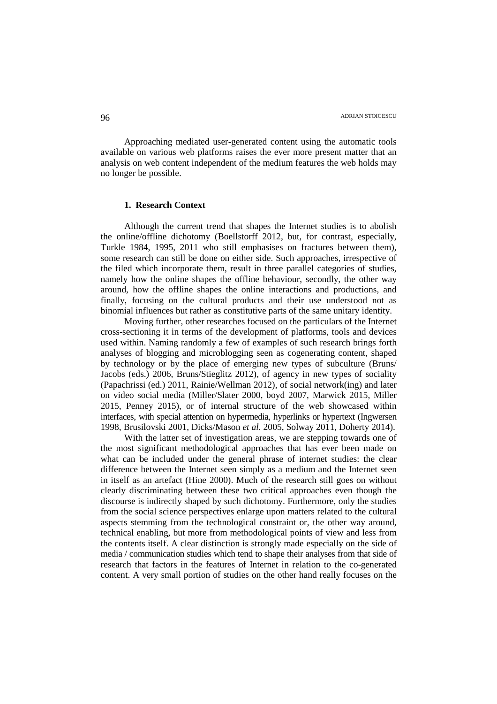Approaching mediated user-generated content using the automatic tools available on various web platforms raises the ever more present matter that an analysis on web content independent of the medium features the web holds may no longer be possible.

# **1. Research Context**

Although the current trend that shapes the Internet studies is to abolish the online/offline dichotomy (Boellstorff 2012, but, for contrast, especially, Turkle 1984, 1995, 2011 who still emphasises on fractures between them), some research can still be done on either side. Such approaches, irrespective of the filed which incorporate them, result in three parallel categories of studies, namely how the online shapes the offline behaviour, secondly, the other way around, how the offline shapes the online interactions and productions, and finally, focusing on the cultural products and their use understood not as binomial influences but rather as constitutive parts of the same unitary identity.

Moving further, other researches focused on the particulars of the Internet cross-sectioning it in terms of the development of platforms, tools and devices used within. Naming randomly a few of examples of such research brings forth analyses of blogging and microblogging seen as cogenerating content, shaped by technology or by the place of emerging new types of subculture (Bruns/ Jacobs (eds.) 2006, Bruns/Stieglitz 2012), of agency in new types of sociality (Papachrissi (ed.) 2011, Rainie/Wellman 2012), of social network(ing) and later on video social media (Miller/Slater 2000, boyd 2007, Marwick 2015, Miller 2015, Penney 2015), or of internal structure of the web showcased within interfaces, with special attention on hypermedia, hyperlinks or hypertext (Ingwersen 1998, Brusilovski 2001, Dicks/Mason *et al.* 2005, Solway 2011, Doherty 2014).

With the latter set of investigation areas, we are stepping towards one of the most significant methodological approaches that has ever been made on what can be included under the general phrase of internet studies: the clear difference between the Internet seen simply as a medium and the Internet seen in itself as an artefact (Hine 2000). Much of the research still goes on without clearly discriminating between these two critical approaches even though the discourse is indirectly shaped by such dichotomy. Furthermore, only the studies from the social science perspectives enlarge upon matters related to the cultural aspects stemming from the technological constraint or, the other way around, technical enabling, but more from methodological points of view and less from the contents itself. A clear distinction is strongly made especially on the side of media / communication studies which tend to shape their analyses from that side of research that factors in the features of Internet in relation to the co-generated content. A very small portion of studies on the other hand really focuses on the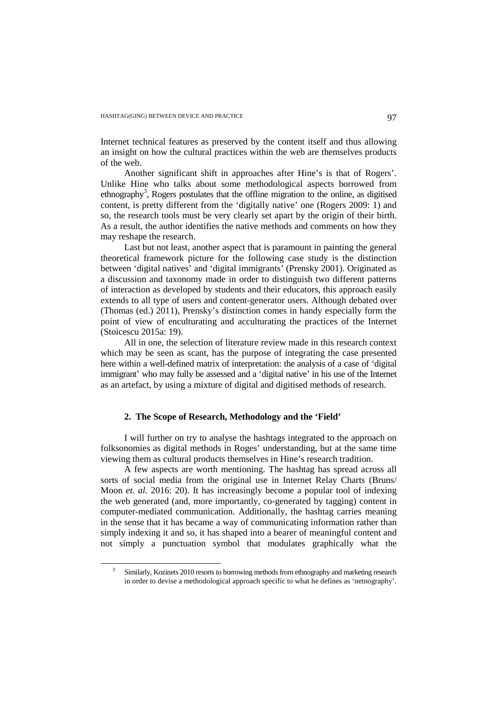Internet technical features as preserved by the content itself and thus allowing an insight on how the cultural practices within the web are themselves products of the web.

Another significant shift in approaches after Hine's is that of Rogers'. Unlike Hine who talks about some methodological aspects borrowed from ethnography<sup>3</sup>, Rogers postulates that the offline migration to the online, as digitised content, is pretty different from the 'digitally native' one (Rogers 2009: 1) and so, the research tools must be very clearly set apart by the origin of their birth. As a result, the author identifies the native methods and comments on how they may reshape the research.

Last but not least, another aspect that is paramount in painting the general theoretical framework picture for the following case study is the distinction between 'digital natives' and 'digital immigrants' (Prensky 2001). Originated as a discussion and taxonomy made in order to distinguish two different patterns of interaction as developed by students and their educators, this approach easily extends to all type of users and content-generator users. Although debated over (Thomas (ed.) 2011), Prensky's distinction comes in handy especially form the point of view of enculturating and acculturating the practices of the Internet (Stoicescu 2015a: 19).

All in one, the selection of literature review made in this research context which may be seen as scant, has the purpose of integrating the case presented here within a well-defined matrix of interpretation: the analysis of a case of 'digital immigrant' who may fully be assessed and a 'digital native' in his use of the Internet as an artefact, by using a mixture of digital and digitised methods of research.

# **2. The Scope of Research, Methodology and the 'Field'**

I will further on try to analyse the hashtags integrated to the approach on folksonomies as digital methods in Roges' understanding, but at the same time viewing them as cultural products themselves in Hine's research tradition.

A few aspects are worth mentioning. The hashtag has spread across all sorts of social media from the original use in Internet Relay Charts (Bruns/ Moon *et. al.* 2016: 20). It has increasingly become a popular tool of indexing the web generated (and, more importantly, co-generated by tagging) content in computer-mediated communication. Additionally, the hashtag carries meaning in the sense that it has became a way of communicating information rather than simply indexing it and so, it has shaped into a bearer of meaningful content and not simply a punctuation symbol that modulates graphically what the

<sup>3</sup> Similarly, Kozinets 2010 resorts to borrowing methods from ethnography and marketing research in order to devise a methodological approach specific to what he defines as 'netnography'.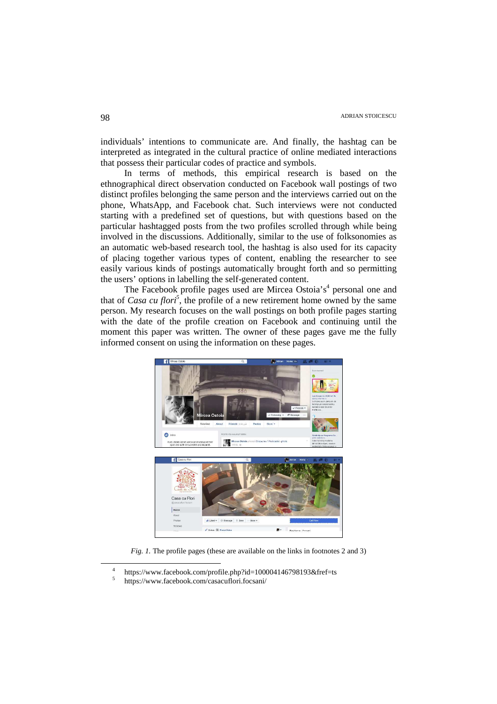individuals' intentions to communicate are. And finally, the hashtag can be interpreted as integrated in the cultural practice of online mediated interactions that possess their particular codes of practice and symbols.

In terms of methods, this empirical research is based on the ethnographical direct observation conducted on Facebook wall postings of two distinct profiles belonging the same person and the interviews carried out on the phone, WhatsApp, and Facebook chat. Such interviews were not conducted starting with a predefined set of questions, but with questions based on the particular hashtagged posts from the two profiles scrolled through while being involved in the discussions. Additionally, similar to the use of folksonomies as an automatic web-based research tool, the hashtag is also used for its capacity of placing together various types of content, enabling the researcher to see easily various kinds of postings automatically brought forth and so permitting the users' options in labelling the self-generated content.

The Facebook profile pages used are Mircea Ostoia's<sup>4</sup> personal one and that of *Casa cu flori<sup>5</sup>*, the profile of a new retirement home owned by the same person. My research focuses on the wall postings on both profile pages starting with the date of the profile creation on Facebook and continuing until the moment this paper was written. The owner of these pages gave me the fully informed consent on using the information on these pages.



*Fig. 1.* The profile pages (these are available on the links in footnotes 2 and 3)

<sup>4</sup> https://www.facebook.com/profile.php?id=100004146798193&fref=ts

<sup>5</sup> https://www.facebook.com/casacuflori.focsani/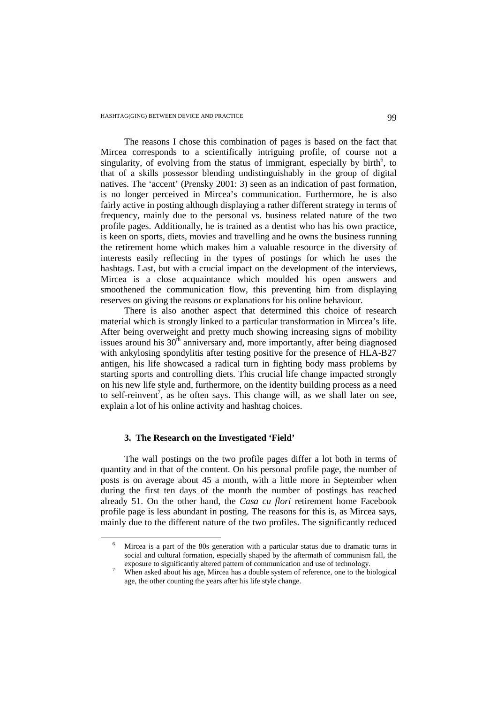The reasons I chose this combination of pages is based on the fact that Mircea corresponds to a scientifically intriguing profile, of course not a singularity, of evolving from the status of immigrant, especially by birth<sup>6</sup>, to that of a skills possessor blending undistinguishably in the group of digital natives. The 'accent' (Prensky 2001: 3) seen as an indication of past formation, is no longer perceived in Mircea's communication. Furthermore, he is also fairly active in posting although displaying a rather different strategy in terms of frequency, mainly due to the personal vs. business related nature of the two profile pages. Additionally, he is trained as a dentist who has his own practice, is keen on sports, diets, movies and travelling and he owns the business running the retirement home which makes him a valuable resource in the diversity of interests easily reflecting in the types of postings for which he uses the hashtags. Last, but with a crucial impact on the development of the interviews, Mircea is a close acquaintance which moulded his open answers and smoothened the communication flow, this preventing him from displaying reserves on giving the reasons or explanations for his online behaviour.

There is also another aspect that determined this choice of research material which is strongly linked to a particular transformation in Mircea's life. After being overweight and pretty much showing increasing signs of mobility issues around his  $30<sup>th</sup>$  anniversary and, more importantly, after being diagnosed with ankylosing spondylitis after testing positive for the presence of HLA-B27 antigen, his life showcased a radical turn in fighting body mass problems by starting sports and controlling diets. This crucial life change impacted strongly on his new life style and, furthermore, on the identity building process as a need to self-reinvent<sup>7</sup>, as he often says. This change will, as we shall later on see, explain a lot of his online activity and hashtag choices.

## **3. The Research on the Investigated 'Field'**

 $\overline{a}$ 

The wall postings on the two profile pages differ a lot both in terms of quantity and in that of the content. On his personal profile page, the number of posts is on average about 45 a month, with a little more in September when during the first ten days of the month the number of postings has reached already 51. On the other hand, the *Casa cu flori* retirement home Facebook profile page is less abundant in posting. The reasons for this is, as Mircea says, mainly due to the different nature of the two profiles. The significantly reduced

<sup>6</sup> Mircea is a part of the 80s generation with a particular status due to dramatic turns in social and cultural formation, especially shaped by the aftermath of communism fall, the exposure to significantly altered pattern of communication and use of technology.

<sup>7</sup> When asked about his age, Mircea has a double system of reference, one to the biological age, the other counting the years after his life style change.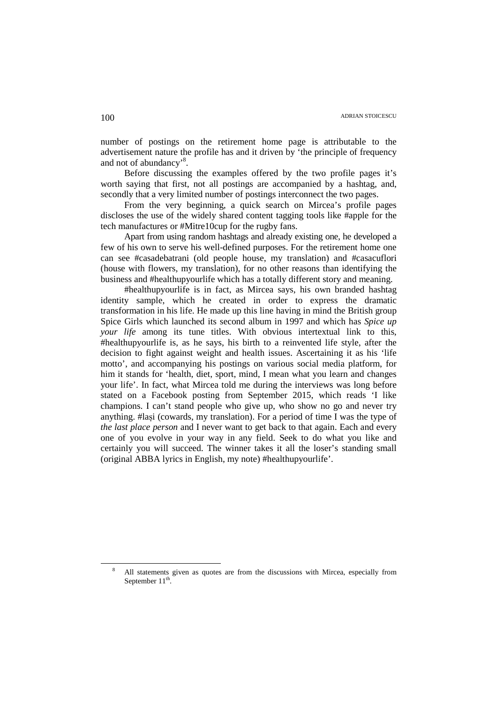number of postings on the retirement home page is attributable to the advertisement nature the profile has and it driven by 'the principle of frequency and not of abundancy<sup>8</sup>.

Before discussing the examples offered by the two profile pages it's worth saying that first, not all postings are accompanied by a hashtag, and, secondly that a very limited number of postings interconnect the two pages.

From the very beginning, a quick search on Mircea's profile pages discloses the use of the widely shared content tagging tools like #apple for the tech manufactures or #Mitre10cup for the rugby fans.

Apart from using random hashtags and already existing one, he developed a few of his own to serve his well-defined purposes. For the retirement home one can see #casadebatrani (old people house, my translation) and #casacuflori (house with flowers, my translation), for no other reasons than identifying the business and #healthupyourlife which has a totally different story and meaning.

#healthupyourlife is in fact, as Mircea says, his own branded hashtag identity sample, which he created in order to express the dramatic transformation in his life. He made up this line having in mind the British group Spice Girls which launched its second album in 1997 and which has *Spice up your life* among its tune titles. With obvious intertextual link to this, #healthupyourlife is, as he says, his birth to a reinvented life style, after the decision to fight against weight and health issues. Ascertaining it as his 'life motto', and accompanying his postings on various social media platform, for him it stands for 'health, diet, sport, mind, I mean what you learn and changes your life'. In fact, what Mircea told me during the interviews was long before stated on a Facebook posting from September 2015, which reads 'I like champions. I can't stand people who give up, who show no go and never try anything. #lași (cowards, my translation). For a period of time I was the type of *the last place person* and I never want to get back to that again. Each and every one of you evolve in your way in any field. Seek to do what you like and certainly you will succeed. The winner takes it all the loser's standing small (original ABBA lyrics in English, my note) #healthupyourlife'.

<sup>8</sup> All statements given as quotes are from the discussions with Mircea, especially from September  $11^{\text{th}}$ .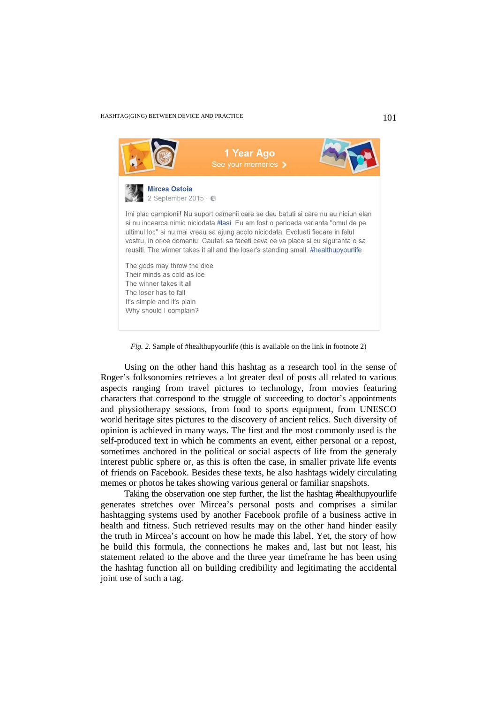## HASHTAG(GING) BETWEEN DEVICE AND PRACTICE 101

| 1 Year Ago<br>See your memories >                                                                                                                                                                                                                                                                                                                                                                                                     |  |
|---------------------------------------------------------------------------------------------------------------------------------------------------------------------------------------------------------------------------------------------------------------------------------------------------------------------------------------------------------------------------------------------------------------------------------------|--|
| <b>Mircea Ostoia</b><br>2 September 2015 $\cdot$ $\odot$                                                                                                                                                                                                                                                                                                                                                                              |  |
| Imi plac campionii! Nu suport oamenii care se dau batuti si care nu au niciun elan<br>si nu incearca nimic niciodata #lasi. Eu am fost o perioada varianta "omul de pe<br>ultimul loc" si nu mai vreau sa ajung acolo niciodata. Evoluati fiecare in felul<br>vostru, in orice domeniu. Cautati sa faceti ceva ce va place si cu siguranta o sa<br>reusiti. The winner takes it all and the loser's standing small. #healthupyourlife |  |
| The gods may throw the dice<br>Their minds as cold as ice<br>The winner takes it all<br>The loser has to fall<br>It's simple and it's plain<br>Why should I complain?                                                                                                                                                                                                                                                                 |  |

*Fig. 2.* Sample of #healthupyourlife (this is available on the link in footnote 2)

Using on the other hand this hashtag as a research tool in the sense of Roger's folksonomies retrieves a lot greater deal of posts all related to various aspects ranging from travel pictures to technology, from movies featuring characters that correspond to the struggle of succeeding to doctor's appointments and physiotherapy sessions, from food to sports equipment, from UNESCO world heritage sites pictures to the discovery of ancient relics. Such diversity of opinion is achieved in many ways. The first and the most commonly used is the self-produced text in which he comments an event, either personal or a repost, sometimes anchored in the political or social aspects of life from the generaly interest public sphere or, as this is often the case, in smaller private life events of friends on Facebook. Besides these texts, he also hashtags widely circulating memes or photos he takes showing various general or familiar snapshots.

Taking the observation one step further, the list the hashtag #healthupyourlife generates stretches over Mircea's personal posts and comprises a similar hashtagging systems used by another Facebook profile of a business active in health and fitness. Such retrieved results may on the other hand hinder easily the truth in Mircea's account on how he made this label. Yet, the story of how he build this formula, the connections he makes and, last but not least, his statement related to the above and the three year timeframe he has been using the hashtag function all on building credibility and legitimating the accidental joint use of such a tag.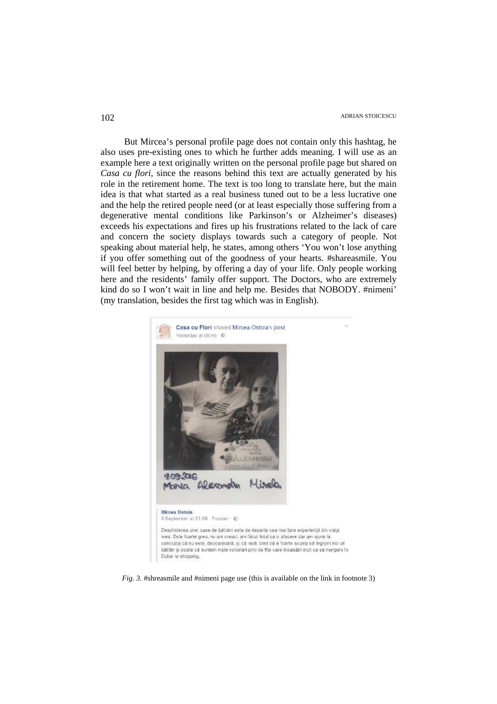But Mircea's personal profile page does not contain only this hashtag, he also uses pre-existing ones to which he further adds meaning. I will use as an example here a text originally written on the personal profile page but shared on *Casa cu flori*, since the reasons behind this text are actually generated by his role in the retirement home. The text is too long to translate here, but the main idea is that what started as a real business tuned out to be a less lucrative one and the help the retired people need (or at least especially those suffering from a degenerative mental conditions like Parkinson's or Alzheimer's diseases) exceeds his expectations and fires up his frustrations related to the lack of care and concern the society displays towards such a category of people. Not speaking about material help, he states, among others 'You won't lose anything if you offer something out of the goodness of your hearts. #shareasmile. You will feel better by helping, by offering a day of your life. Only people working here and the residents' family offer support. The Doctors, who are extremely kind do so I won't wait in line and help me. Besides that NOBODY. #nimeni' (my translation, besides the first tag which was in English).



*Fig. 3.* #shreasmile and #nimeni page use (this is available on the link in footnote 3)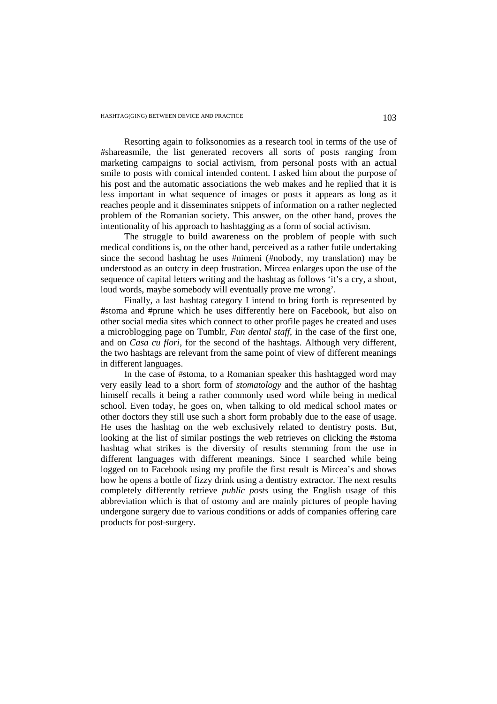Resorting again to folksonomies as a research tool in terms of the use of #shareasmile, the list generated recovers all sorts of posts ranging from marketing campaigns to social activism, from personal posts with an actual smile to posts with comical intended content. I asked him about the purpose of his post and the automatic associations the web makes and he replied that it is less important in what sequence of images or posts it appears as long as it reaches people and it disseminates snippets of information on a rather neglected problem of the Romanian society. This answer, on the other hand, proves the intentionality of his approach to hashtagging as a form of social activism.

The struggle to build awareness on the problem of people with such medical conditions is, on the other hand, perceived as a rather futile undertaking since the second hashtag he uses #nimeni (#nobody, my translation) may be understood as an outcry in deep frustration. Mircea enlarges upon the use of the sequence of capital letters writing and the hashtag as follows 'it's a cry, a shout, loud words, maybe somebody will eventually prove me wrong'.

Finally, a last hashtag category I intend to bring forth is represented by #stoma and #prune which he uses differently here on Facebook, but also on other social media sites which connect to other profile pages he created and uses a microblogging page on Tumblr, *Fun dental staff*, in the case of the first one, and on *Casa cu flori*, for the second of the hashtags. Although very different, the two hashtags are relevant from the same point of view of different meanings in different languages.

In the case of #stoma, to a Romanian speaker this hashtagged word may very easily lead to a short form of *stomatology* and the author of the hashtag himself recalls it being a rather commonly used word while being in medical school. Even today, he goes on, when talking to old medical school mates or other doctors they still use such a short form probably due to the ease of usage. He uses the hashtag on the web exclusively related to dentistry posts. But, looking at the list of similar postings the web retrieves on clicking the #stoma hashtag what strikes is the diversity of results stemming from the use in different languages with different meanings. Since I searched while being logged on to Facebook using my profile the first result is Mircea's and shows how he opens a bottle of fizzy drink using a dentistry extractor. The next results completely differently retrieve *public posts* using the English usage of this abbreviation which is that of ostomy and are mainly pictures of people having undergone surgery due to various conditions or adds of companies offering care products for post-surgery.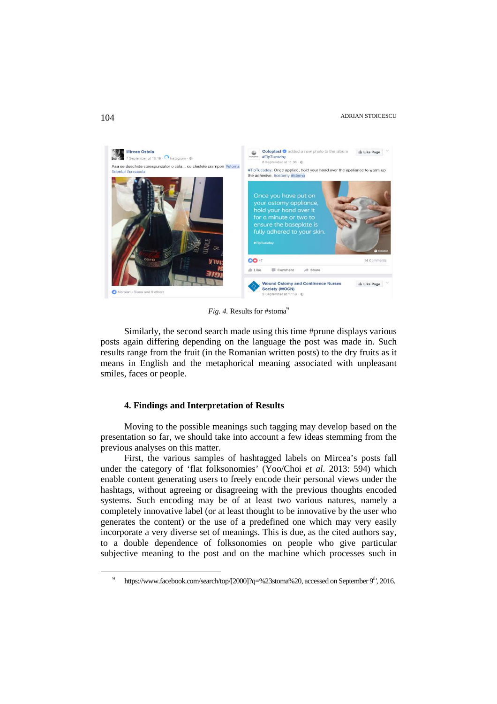## ADRIAN STOICESCU 104



*Fig. 4.* Results for #stoma<sup>9</sup>

Similarly, the second search made using this time #prune displays various posts again differing depending on the language the post was made in. Such results range from the fruit (in the Romanian written posts) to the dry fruits as it means in English and the metaphorical meaning associated with unpleasant smiles, faces or people.

## **4. Findings and Interpretation of Results**

Moving to the possible meanings such tagging may develop based on the presentation so far, we should take into account a few ideas stemming from the previous analyses on this matter.

First, the various samples of hashtagged labels on Mircea's posts fall under the category of 'flat folksonomies' (Yoo/Choi *et al.* 2013: 594) which enable content generating users to freely encode their personal views under the hashtags, without agreeing or disagreeing with the previous thoughts encoded systems. Such encoding may be of at least two various natures, namely a completely innovative label (or at least thought to be innovative by the user who generates the content) or the use of a predefined one which may very easily incorporate a very diverse set of meanings. This is due, as the cited authors say, to a double dependence of folksonomies on people who give particular subjective meaning to the post and on the machine which processes such in

<sup>9</sup> https://www.facebook.com/search/top/[2000]?q=%23stoma%20, accessed on September 9<sup>th</sup>, 2016.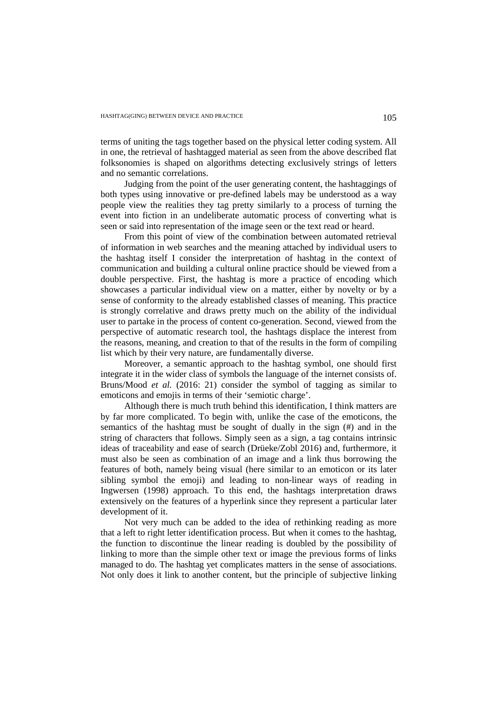terms of uniting the tags together based on the physical letter coding system. All in one, the retrieval of hashtagged material as seen from the above described flat folksonomies is shaped on algorithms detecting exclusively strings of letters and no semantic correlations.

Judging from the point of the user generating content, the hashtaggings of both types using innovative or pre-defined labels may be understood as a way people view the realities they tag pretty similarly to a process of turning the event into fiction in an undeliberate automatic process of converting what is seen or said into representation of the image seen or the text read or heard.

From this point of view of the combination between automated retrieval of information in web searches and the meaning attached by individual users to the hashtag itself I consider the interpretation of hashtag in the context of communication and building a cultural online practice should be viewed from a double perspective. First, the hashtag is more a practice of encoding which showcases a particular individual view on a matter, either by novelty or by a sense of conformity to the already established classes of meaning. This practice is strongly correlative and draws pretty much on the ability of the individual user to partake in the process of content co-generation. Second, viewed from the perspective of automatic research tool, the hashtags displace the interest from the reasons, meaning, and creation to that of the results in the form of compiling list which by their very nature, are fundamentally diverse.

Moreover, a semantic approach to the hashtag symbol, one should first integrate it in the wider class of symbols the language of the internet consists of. Bruns/Mood *et al.* (2016: 21) consider the symbol of tagging as similar to emoticons and emojis in terms of their 'semiotic charge'.

Although there is much truth behind this identification, I think matters are by far more complicated. To begin with, unlike the case of the emoticons, the semantics of the hashtag must be sought of dually in the sign (#) and in the string of characters that follows. Simply seen as a sign, a tag contains intrinsic ideas of traceability and ease of search (Drüeke/Zobl 2016) and, furthermore, it must also be seen as combination of an image and a link thus borrowing the features of both, namely being visual (here similar to an emoticon or its later sibling symbol the emoji) and leading to non-linear ways of reading in Ingwersen (1998) approach. To this end, the hashtags interpretation draws extensively on the features of a hyperlink since they represent a particular later development of it.

Not very much can be added to the idea of rethinking reading as more that a left to right letter identification process. But when it comes to the hashtag, the function to discontinue the linear reading is doubled by the possibility of linking to more than the simple other text or image the previous forms of links managed to do. The hashtag yet complicates matters in the sense of associations. Not only does it link to another content, but the principle of subjective linking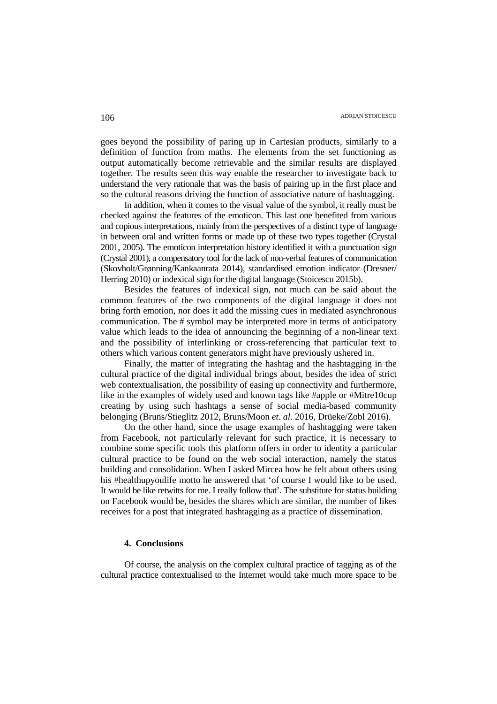goes beyond the possibility of paring up in Cartesian products, similarly to a definition of function from maths. The elements from the set functioning as output automatically become retrievable and the similar results are displayed together. The results seen this way enable the researcher to investigate back to understand the very rationale that was the basis of pairing up in the first place and so the cultural reasons driving the function of associative nature of hashtagging.

In addition, when it comes to the visual value of the symbol, it really must be checked against the features of the emoticon. This last one benefited from various and copious interpretations, mainly from the perspectives of a distinct type of language in between oral and written forms or made up of these two types together (Crystal 2001, 2005). The emoticon interpretation history identified it with a punctuation sign (Crystal 2001), a compensatory tool for the lack of non-verbal features of communication (Skovholt/Grønning/Kankaanrata 2014), standardised emotion indicator (Dresner/ Herring 2010) or indexical sign for the digital language (Stoicescu 2015b).

Besides the features of indexical sign, not much can be said about the common features of the two components of the digital language it does not bring forth emotion, nor does it add the missing cues in mediated asynchronous communication. The # symbol may be interpreted more in terms of anticipatory value which leads to the idea of announcing the beginning of a non-linear text and the possibility of interlinking or cross-referencing that particular text to others which various content generators might have previously ushered in.

Finally, the matter of integrating the hashtag and the hashtagging in the cultural practice of the digital individual brings about, besides the idea of strict web contextualisation, the possibility of easing up connectivity and furthermore, like in the examples of widely used and known tags like #apple or #Mitre10cup creating by using such hashtags a sense of social media-based community belonging (Bruns/Stieglitz 2012, Bruns/Moon *et. al.* 2016, Drüeke/Zobl 2016).

On the other hand, since the usage examples of hashtagging were taken from Facebook, not particularly relevant for such practice, it is necessary to combine some specific tools this platform offers in order to identity a particular cultural practice to be found on the web social interaction, namely the status building and consolidation. When I asked Mircea how he felt about others using his #healthupyoulife motto he answered that 'of course I would like to be used. It would be like retwitts for me. I really follow that'. The substitute for status building on Facebook would be, besides the shares which are similar, the number of likes receives for a post that integrated hashtagging as a practice of dissemination.

# **4. Conclusions**

Of course, the analysis on the complex cultural practice of tagging as of the cultural practice contextualised to the Internet would take much more space to be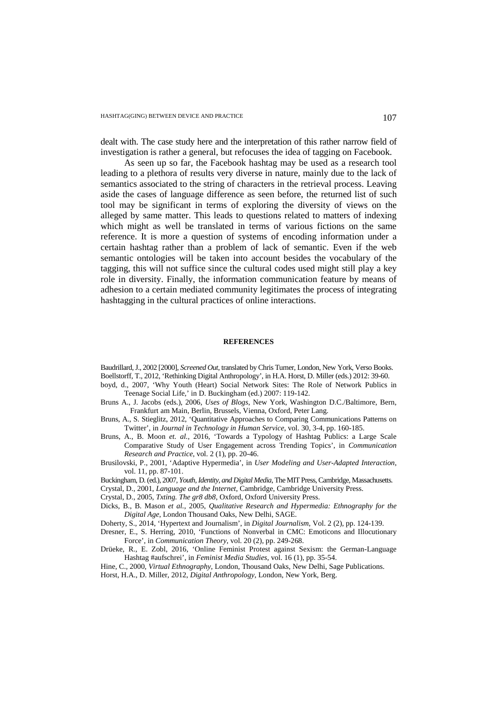dealt with. The case study here and the interpretation of this rather narrow field of investigation is rather a general, but refocuses the idea of tagging on Facebook.

As seen up so far, the Facebook hashtag may be used as a research tool leading to a plethora of results very diverse in nature, mainly due to the lack of semantics associated to the string of characters in the retrieval process. Leaving aside the cases of language difference as seen before, the returned list of such tool may be significant in terms of exploring the diversity of views on the alleged by same matter. This leads to questions related to matters of indexing which might as well be translated in terms of various fictions on the same reference. It is more a question of systems of encoding information under a certain hashtag rather than a problem of lack of semantic. Even if the web semantic ontologies will be taken into account besides the vocabulary of the tagging, this will not suffice since the cultural codes used might still play a key role in diversity. Finally, the information communication feature by means of adhesion to a certain mediated community legitimates the process of integrating hashtagging in the cultural practices of online interactions.

#### **REFERENCES**

Baudrillard, J., 2002 [2000], *Screened Out*, translated by Chris Turner, London, New York, Verso Books.

- Boellstorff, T., 2012, 'Rethinking Digital Anthropology', in H.A. Horst, D. Miller (eds.) 2012: 39-60. boyd, d., 2007, 'Why Youth (Heart) Social Network Sites: The Role of Network Publics in
- Teenage Social Life,' in D. Buckingham (ed.) 2007: 119-142.
- Bruns A., J. Jacobs (eds.), 2006, *Uses of Blogs*, New York, Washington D.C./Baltimore, Bern, Frankfurt am Main, Berlin, Brussels, Vienna, Oxford, Peter Lang.
- Bruns, A., S. Stieglitz, 2012, 'Quantitative Approaches to Comparing Communications Patterns on Twitter', in *Journal in Technology in Human Service*, vol. 30, 3-4, pp. 160-185.
- Bruns, A., B. Moon *et. al.*, 2016, 'Towards a Typology of Hashtag Publics: a Large Scale Comparative Study of User Engagement across Trending Topics', in *Communication Research and Practice*, vol. 2 (1), pp. 20-46.
- Brusilovski, P., 2001, 'Adaptive Hypermedia', in *User Modeling and User-Adapted Interaction*, vol. 11, pp. 87-101.
- Buckingham, D. (ed.), 2007, *Youth, Identity, and Digital Media*, The MIT Press, Cambridge, Massachusetts.
- Crystal, D., 2001, *Language and the Internet*, Cambridge, Cambridge University Press.
- Crystal, D., 2005, *Txting. The gr8 db8*, Oxford, Oxford University Press.
- Dicks, B., B. Mason *et al.*, 2005, *Qualitative Research and Hypermedia: Ethnography for the Digital Age*, London Thousand Oaks, New Delhi, SAGE.
- Doherty, S., 2014, 'Hypertext and Journalism', in *Digital Journalism*, Vol. 2 (2), pp. 124-139.
- Dresner, E., S. Herring, 2010, 'Functions of Nonverbal in CMC: Emoticons and Illocutionary Force', in *Communication Theory*, vol. 20 (2), pp. 249-268.
- Drüeke, R., E. Zobl, 2016, 'Online Feminist Protest against Sexism: the German-Language Hashtag #aufschrei', in *Feminist Media Studies*, vol. 16 (1), pp. 35-54.
- Hine, C., 2000, *Virtual Ethnography*, London, Thousand Oaks, New Delhi, Sage Publications.
- Horst, H.A., D. Miller, 2012, *Digital Anthropology*, London, New York, Berg.